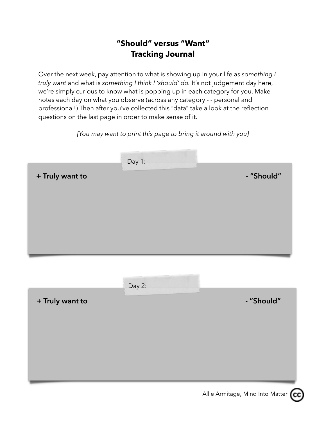## **"Should" versus "Want" Tracking Journal**

Over the next week, pay attention to what is showing up in your life as *something I truly want* and what is *something I think I 'should' do.* It's not judgement day here, we're simply curious to know what is popping up in each category for you. Make notes each day on what you observe (across any category - - personal and professional!) Then after you've collected this "data" take a look at the reflection questions on the last page in order to make sense of it.

*[You may want to print this page to bring it around with you]* 

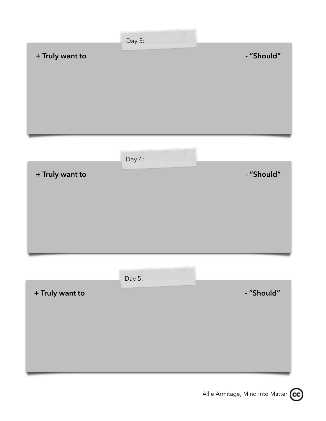

Allie Armitage, [Mind Into Matter](http://www.alliearmitage.com) (cc